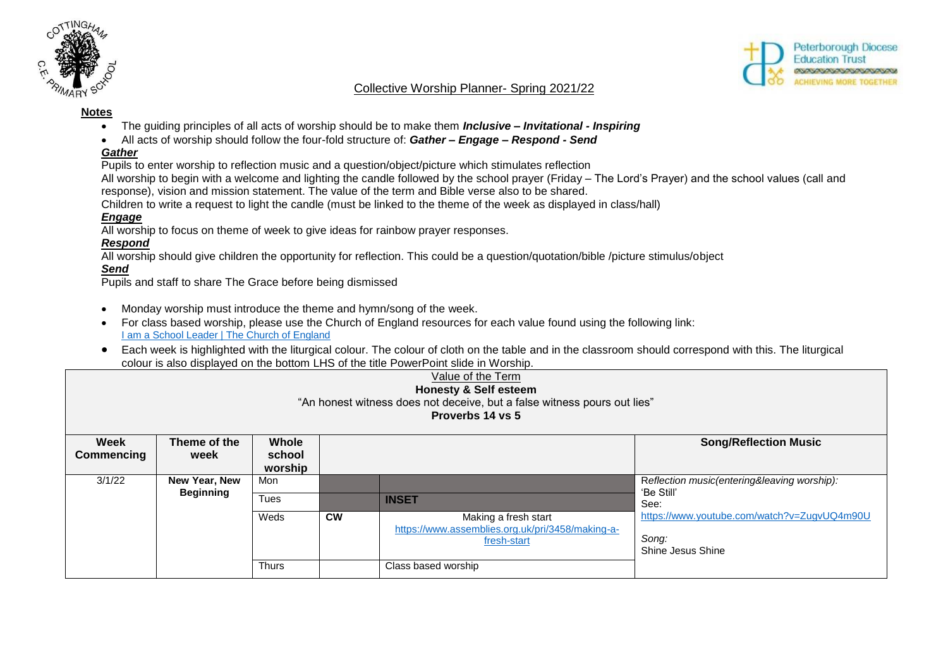



## Collective Worship Planner- Spring 2021/22

#### **Notes**

- The guiding principles of all acts of worship should be to make them *Inclusive – Invitational - Inspiring*
- All acts of worship should follow the four-fold structure of: *Gather – Engage – Respond - Send*

#### *Gather*

Pupils to enter worship to reflection music and a question/object/picture which stimulates reflection

All worship to begin with a welcome and lighting the candle followed by the school prayer (Friday – The Lord's Prayer) and the school values (call and response), vision and mission statement. The value of the term and Bible verse also to be shared.

Children to write a request to light the candle (must be linked to the theme of the week as displayed in class/hall)

## *Engage*

All worship to focus on theme of week to give ideas for rainbow prayer responses.

## *Respond*

All worship should give children the opportunity for reflection. This could be a question/quotation/bible /picture stimulus/object

# *Send*

Pupils and staff to share The Grace before being dismissed

- Monday worship must introduce the theme and hymn/song of the week.
- For class based worship, please use the Church of England resources for each value found using the following link: **[I am a School Leader | The Church of England](https://www.churchofengland.org/our-faith/faith-home/i-am-school-leader)**
- Each week is highlighted with the liturgical colour. The colour of cloth on the table and in the classroom should correspond with this. The liturgical colour is also displayed on the bottom LHS of the title PowerPoint slide in Worship.

| Value of the Term<br><b>Honesty &amp; Self esteem</b><br>"An honest witness does not deceive, but a false witness pours out lies"<br>Proverbs 14 vs 5 |                                   |                            |           |                                                                                         |                                                                           |  |
|-------------------------------------------------------------------------------------------------------------------------------------------------------|-----------------------------------|----------------------------|-----------|-----------------------------------------------------------------------------------------|---------------------------------------------------------------------------|--|
| Week<br>Commencing                                                                                                                                    | Theme of the<br>week              | Whole<br>school<br>worship |           |                                                                                         | <b>Song/Reflection Music</b>                                              |  |
| 3/1/22                                                                                                                                                | New Year, New<br><b>Beginning</b> | Mon<br>Tues                |           | <b>INSET</b>                                                                            | Reflection music(entering&leaving worship):<br>'Be Still'<br>See:         |  |
|                                                                                                                                                       |                                   | Weds                       | <b>CW</b> | Making a fresh start<br>https://www.assemblies.org.uk/pri/3458/making-a-<br>fresh-start | https://www.youtube.com/watch?v=ZugvUQ4m90U<br>Song:<br>Shine Jesus Shine |  |
|                                                                                                                                                       |                                   | <b>Thurs</b>               |           | Class based worship                                                                     |                                                                           |  |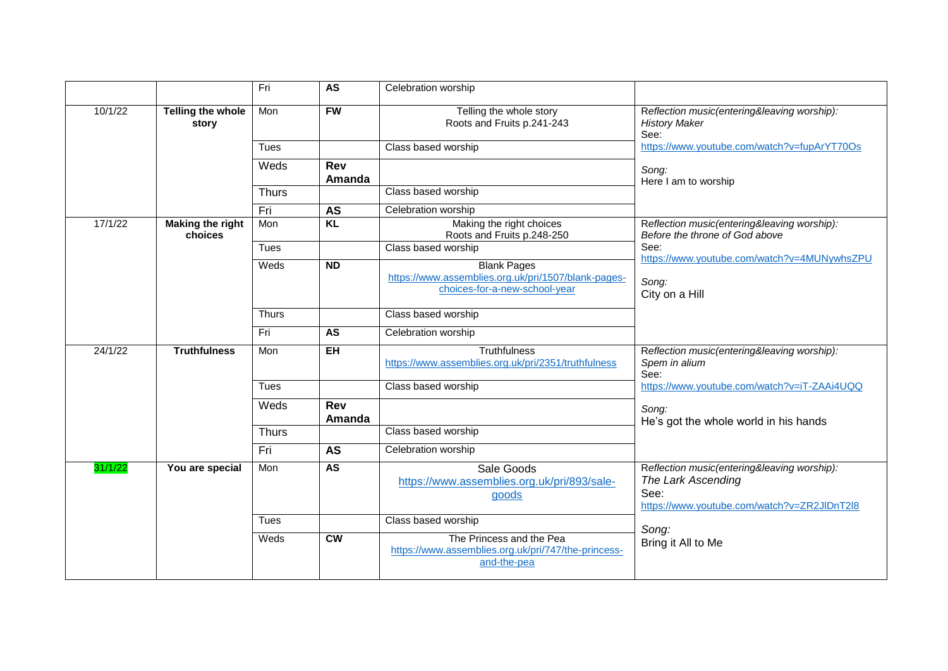|         |                                    | Fri          | AS                   | Celebration worship                                                                                        |                                                                                                                          |
|---------|------------------------------------|--------------|----------------------|------------------------------------------------------------------------------------------------------------|--------------------------------------------------------------------------------------------------------------------------|
| 10/1/22 | Telling the whole<br>story         | Mon          | <b>FW</b>            | Telling the whole story<br>Roots and Fruits p.241-243                                                      | Reflection music(entering&leaving worship):<br><b>History Maker</b><br>See:                                              |
|         |                                    | <b>Tues</b>  |                      | Class based worship                                                                                        | https://www.youtube.com/watch?v=fupArYT70Os                                                                              |
|         |                                    | Weds         | <b>Rev</b><br>Amanda |                                                                                                            | Song:<br>Here I am to worship                                                                                            |
|         |                                    | <b>Thurs</b> |                      | Class based worship                                                                                        |                                                                                                                          |
|         |                                    | Fri          | <b>AS</b>            | Celebration worship                                                                                        |                                                                                                                          |
| 17/1/22 | <b>Making the right</b><br>choices | Mon          | <b>KL</b>            | Making the right choices<br>Roots and Fruits p.248-250                                                     | Reflection music(entering&leaving worship):<br>Before the throne of God above                                            |
|         |                                    | <b>Tues</b>  |                      | Class based worship                                                                                        | See:<br>https://www.youtube.com/watch?v=4MUNywhsZPU                                                                      |
|         |                                    | Weds         | <b>ND</b>            | <b>Blank Pages</b><br>https://www.assemblies.org.uk/pri/1507/blank-pages-<br>choices-for-a-new-school-year | Song:<br>City on a Hill                                                                                                  |
|         |                                    | <b>Thurs</b> |                      | Class based worship                                                                                        |                                                                                                                          |
|         |                                    | Fri          | <b>AS</b>            | Celebration worship                                                                                        |                                                                                                                          |
| 24/1/22 | <b>Truthfulness</b>                | Mon          | $E$ H                | <b>Truthfulness</b><br>https://www.assemblies.org.uk/pri/2351/truthfulness                                 | Reflection music(entering&leaving worship):<br>Spem in alium<br>See:                                                     |
|         |                                    | <b>Tues</b>  |                      | Class based worship                                                                                        | https://www.youtube.com/watch?v=iT-ZAAi4UQQ                                                                              |
|         |                                    | Weds         | <b>Rev</b><br>Amanda |                                                                                                            | Song:<br>He's got the whole world in his hands                                                                           |
|         |                                    | <b>Thurs</b> |                      | Class based worship                                                                                        |                                                                                                                          |
|         |                                    | Fri          | <b>AS</b>            | Celebration worship                                                                                        |                                                                                                                          |
| 31/1/22 | You are special                    | Mon          | AS                   | Sale Goods<br>https://www.assemblies.org.uk/pri/893/sale-<br>goods                                         | Reflection music(entering&leaving worship):<br>The Lark Ascending<br>See:<br>https://www.youtube.com/watch?v=ZR2JIDnT2l8 |
|         |                                    | <b>Tues</b>  |                      | Class based worship                                                                                        | Song:                                                                                                                    |
|         |                                    | Weds         | cw                   | The Princess and the Pea<br>https://www.assemblies.org.uk/pri/747/the-princess-<br>and-the-pea             | Bring it All to Me                                                                                                       |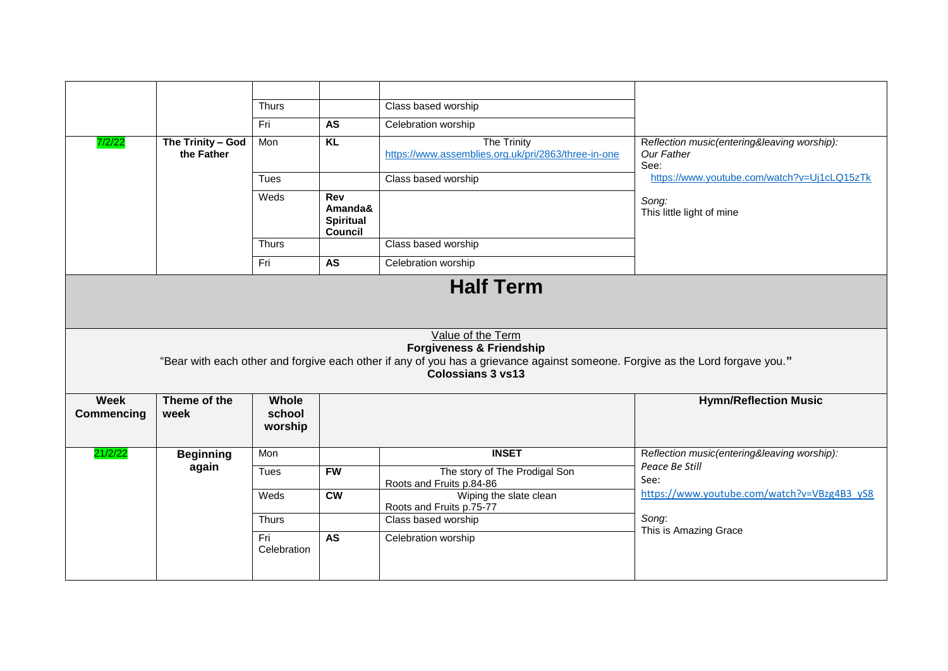|                           |                                 | <b>Thurs</b>               |                                                      | Class based worship                                                                                                                                                                                                   |                                                                   |
|---------------------------|---------------------------------|----------------------------|------------------------------------------------------|-----------------------------------------------------------------------------------------------------------------------------------------------------------------------------------------------------------------------|-------------------------------------------------------------------|
|                           |                                 | Fri                        | AS                                                   | Celebration worship                                                                                                                                                                                                   |                                                                   |
| 7/2/22                    | The Trinity - God<br>the Father | Mon                        | KL                                                   | <b>The Trinity</b><br>https://www.assemblies.org.uk/pri/2863/three-in-one                                                                                                                                             | Reflection music(entering&leaving worship):<br>Our Father<br>See: |
|                           |                                 | Tues                       |                                                      | Class based worship                                                                                                                                                                                                   | https://www.youtube.com/watch?v=Uj1cLQ15zTk                       |
|                           |                                 | Weds                       | Rev<br>Amanda&<br><b>Spiritual</b><br><b>Council</b> |                                                                                                                                                                                                                       | Song:<br>This little light of mine                                |
|                           |                                 | <b>Thurs</b>               |                                                      | Class based worship                                                                                                                                                                                                   |                                                                   |
|                           |                                 | Fri                        | AS                                                   | Celebration worship                                                                                                                                                                                                   |                                                                   |
|                           |                                 |                            |                                                      | Value of the Term<br><b>Forgiveness &amp; Friendship</b><br>"Bear with each other and forgive each other if any of you has a grievance against someone. Forgive as the Lord forgave you."<br><b>Colossians 3 vs13</b> |                                                                   |
| Week<br><b>Commencing</b> | Theme of the<br>week            | Whole<br>school<br>worship |                                                      |                                                                                                                                                                                                                       | <b>Hymn/Reflection Music</b>                                      |
| 21/2/22                   | <b>Beginning</b>                | Mon                        |                                                      | <b>INSET</b>                                                                                                                                                                                                          | Reflection music(entering&leaving worship):                       |
|                           | again                           | Tues                       | <b>FW</b>                                            | The story of The Prodigal Son<br>Roots and Fruits p.84-86                                                                                                                                                             | Peace Be Still<br>See:                                            |
|                           |                                 | Weds                       | cw                                                   | Wiping the slate clean<br>Roots and Fruits p.75-77                                                                                                                                                                    | https://www.youtube.com/watch?v=VBzg4B3_yS8                       |
|                           |                                 | <b>Thurs</b>               |                                                      | Class based worship                                                                                                                                                                                                   | Song:                                                             |
|                           |                                 |                            |                                                      |                                                                                                                                                                                                                       |                                                                   |
|                           |                                 | Fri<br>Celebration         | AS                                                   | Celebration worship                                                                                                                                                                                                   | This is Amazing Grace                                             |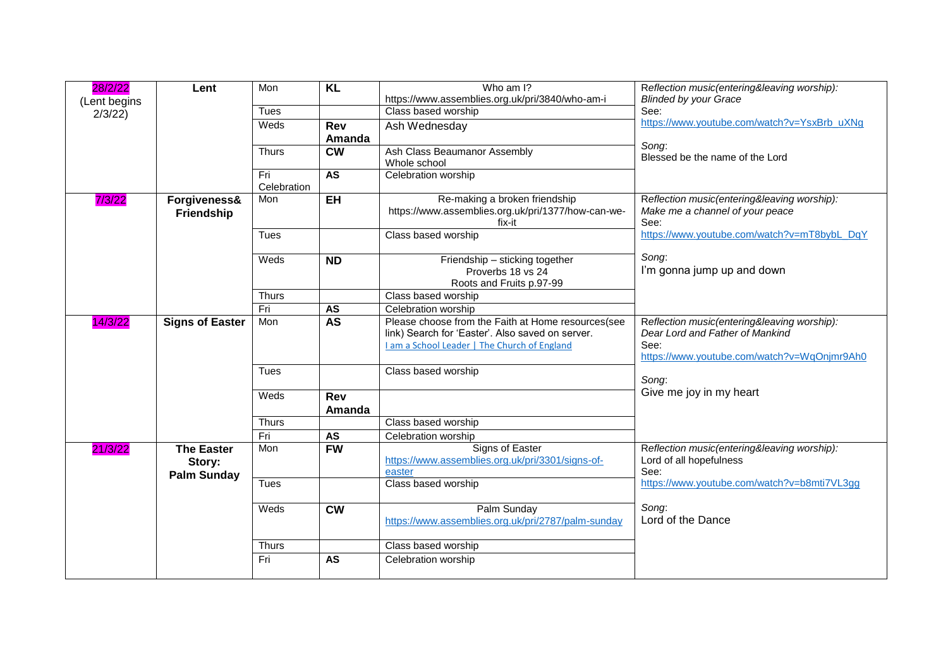| (Lent begins<br>Class based worship<br>See:<br><b>Tues</b><br>2/3/22<br>https://www.youtube.com/watch?v=YsxBrb_uXNg<br>Weds<br><b>Rev</b><br>Ash Wednesday<br>Amanda<br>Song:<br>$\overline{\text{cw}}$<br>Ash Class Beaumanor Assembly<br><b>Thurs</b><br>Blessed be the name of the Lord<br>Whole school<br>AS<br>Celebration worship<br>Fri<br>Celebration<br>Re-making a broken friendship<br><b>EH</b><br>Reflection music(entering&leaving worship):<br>7/3/22<br>Mon<br>Forgiveness&<br>https://www.assemblies.org.uk/pri/1377/how-can-we-<br>Make me a channel of your peace<br>Friendship<br>See:<br>fix-it<br>Class based worship<br>https://www.youtube.com/watch?v=mT8bybL_DqY<br><b>Tues</b><br>Song:<br>$\overline{ND}$<br>Friendship - sticking together<br>Weds<br>I'm gonna jump up and down<br>Proverbs 18 vs 24<br>Roots and Fruits p.97-99<br>Class based worship<br><b>Thurs</b><br>Fri<br><b>AS</b><br>Celebration worship<br>Please choose from the Faith at Home resources(see<br><b>AS</b><br>14/3/22<br>Mon<br>Reflection music(entering&leaving worship):<br><b>Signs of Easter</b><br>link) Search for 'Easter'. Also saved on server.<br>Dear Lord and Father of Mankind<br>See:<br>I am a School Leader   The Church of England<br>https://www.youtube.com/watch?v=WqOnjmr9Ah0<br>Class based worship<br><b>Tues</b><br>Song:<br>Give me joy in my heart<br>Weds<br><b>Rev</b><br>Amanda<br>Class based worship<br><b>Thurs</b><br>Fri<br><b>AS</b><br>Celebration worship<br><b>FW</b><br>Signs of Easter<br><b>The Easter</b><br>Mon<br>Reflection music(entering&leaving worship):<br>21/3/22<br>https://www.assemblies.org.uk/pri/3301/signs-of-<br>Lord of all hopefulness<br>Story:<br>See:<br>easter<br><b>Palm Sunday</b><br><b>Tues</b><br>Class based worship<br>https://www.youtube.com/watch?v=b8mti7VL3gg | 28/2/22 | Lent | Mon | $\overline{KL}$ | Who am I?<br>https://www.assemblies.org.uk/pri/3840/who-am-i | Reflection music(entering&leaving worship):<br><b>Blinded by your Grace</b> |
|------------------------------------------------------------------------------------------------------------------------------------------------------------------------------------------------------------------------------------------------------------------------------------------------------------------------------------------------------------------------------------------------------------------------------------------------------------------------------------------------------------------------------------------------------------------------------------------------------------------------------------------------------------------------------------------------------------------------------------------------------------------------------------------------------------------------------------------------------------------------------------------------------------------------------------------------------------------------------------------------------------------------------------------------------------------------------------------------------------------------------------------------------------------------------------------------------------------------------------------------------------------------------------------------------------------------------------------------------------------------------------------------------------------------------------------------------------------------------------------------------------------------------------------------------------------------------------------------------------------------------------------------------------------------------------------------------------------------------------------------------------------------------------------------------------------------------------------------------|---------|------|-----|-----------------|--------------------------------------------------------------|-----------------------------------------------------------------------------|
|                                                                                                                                                                                                                                                                                                                                                                                                                                                                                                                                                                                                                                                                                                                                                                                                                                                                                                                                                                                                                                                                                                                                                                                                                                                                                                                                                                                                                                                                                                                                                                                                                                                                                                                                                                                                                                                      |         |      |     |                 |                                                              |                                                                             |
|                                                                                                                                                                                                                                                                                                                                                                                                                                                                                                                                                                                                                                                                                                                                                                                                                                                                                                                                                                                                                                                                                                                                                                                                                                                                                                                                                                                                                                                                                                                                                                                                                                                                                                                                                                                                                                                      |         |      |     |                 |                                                              |                                                                             |
|                                                                                                                                                                                                                                                                                                                                                                                                                                                                                                                                                                                                                                                                                                                                                                                                                                                                                                                                                                                                                                                                                                                                                                                                                                                                                                                                                                                                                                                                                                                                                                                                                                                                                                                                                                                                                                                      |         |      |     |                 |                                                              |                                                                             |
|                                                                                                                                                                                                                                                                                                                                                                                                                                                                                                                                                                                                                                                                                                                                                                                                                                                                                                                                                                                                                                                                                                                                                                                                                                                                                                                                                                                                                                                                                                                                                                                                                                                                                                                                                                                                                                                      |         |      |     |                 |                                                              |                                                                             |
|                                                                                                                                                                                                                                                                                                                                                                                                                                                                                                                                                                                                                                                                                                                                                                                                                                                                                                                                                                                                                                                                                                                                                                                                                                                                                                                                                                                                                                                                                                                                                                                                                                                                                                                                                                                                                                                      |         |      |     |                 |                                                              |                                                                             |
|                                                                                                                                                                                                                                                                                                                                                                                                                                                                                                                                                                                                                                                                                                                                                                                                                                                                                                                                                                                                                                                                                                                                                                                                                                                                                                                                                                                                                                                                                                                                                                                                                                                                                                                                                                                                                                                      |         |      |     |                 |                                                              |                                                                             |
|                                                                                                                                                                                                                                                                                                                                                                                                                                                                                                                                                                                                                                                                                                                                                                                                                                                                                                                                                                                                                                                                                                                                                                                                                                                                                                                                                                                                                                                                                                                                                                                                                                                                                                                                                                                                                                                      |         |      |     |                 |                                                              |                                                                             |
|                                                                                                                                                                                                                                                                                                                                                                                                                                                                                                                                                                                                                                                                                                                                                                                                                                                                                                                                                                                                                                                                                                                                                                                                                                                                                                                                                                                                                                                                                                                                                                                                                                                                                                                                                                                                                                                      |         |      |     |                 |                                                              |                                                                             |
|                                                                                                                                                                                                                                                                                                                                                                                                                                                                                                                                                                                                                                                                                                                                                                                                                                                                                                                                                                                                                                                                                                                                                                                                                                                                                                                                                                                                                                                                                                                                                                                                                                                                                                                                                                                                                                                      |         |      |     |                 |                                                              |                                                                             |
|                                                                                                                                                                                                                                                                                                                                                                                                                                                                                                                                                                                                                                                                                                                                                                                                                                                                                                                                                                                                                                                                                                                                                                                                                                                                                                                                                                                                                                                                                                                                                                                                                                                                                                                                                                                                                                                      |         |      |     |                 |                                                              |                                                                             |
|                                                                                                                                                                                                                                                                                                                                                                                                                                                                                                                                                                                                                                                                                                                                                                                                                                                                                                                                                                                                                                                                                                                                                                                                                                                                                                                                                                                                                                                                                                                                                                                                                                                                                                                                                                                                                                                      |         |      |     |                 |                                                              |                                                                             |
|                                                                                                                                                                                                                                                                                                                                                                                                                                                                                                                                                                                                                                                                                                                                                                                                                                                                                                                                                                                                                                                                                                                                                                                                                                                                                                                                                                                                                                                                                                                                                                                                                                                                                                                                                                                                                                                      |         |      |     |                 |                                                              |                                                                             |
|                                                                                                                                                                                                                                                                                                                                                                                                                                                                                                                                                                                                                                                                                                                                                                                                                                                                                                                                                                                                                                                                                                                                                                                                                                                                                                                                                                                                                                                                                                                                                                                                                                                                                                                                                                                                                                                      |         |      |     |                 |                                                              |                                                                             |
|                                                                                                                                                                                                                                                                                                                                                                                                                                                                                                                                                                                                                                                                                                                                                                                                                                                                                                                                                                                                                                                                                                                                                                                                                                                                                                                                                                                                                                                                                                                                                                                                                                                                                                                                                                                                                                                      |         |      |     |                 |                                                              |                                                                             |
|                                                                                                                                                                                                                                                                                                                                                                                                                                                                                                                                                                                                                                                                                                                                                                                                                                                                                                                                                                                                                                                                                                                                                                                                                                                                                                                                                                                                                                                                                                                                                                                                                                                                                                                                                                                                                                                      |         |      |     |                 |                                                              |                                                                             |
|                                                                                                                                                                                                                                                                                                                                                                                                                                                                                                                                                                                                                                                                                                                                                                                                                                                                                                                                                                                                                                                                                                                                                                                                                                                                                                                                                                                                                                                                                                                                                                                                                                                                                                                                                                                                                                                      |         |      |     |                 |                                                              |                                                                             |
|                                                                                                                                                                                                                                                                                                                                                                                                                                                                                                                                                                                                                                                                                                                                                                                                                                                                                                                                                                                                                                                                                                                                                                                                                                                                                                                                                                                                                                                                                                                                                                                                                                                                                                                                                                                                                                                      |         |      |     |                 |                                                              |                                                                             |
| Palm Sunday<br>Song:<br><b>CW</b><br>Weds<br>Lord of the Dance<br>https://www.assemblies.org.uk/pri/2787/palm-sunday                                                                                                                                                                                                                                                                                                                                                                                                                                                                                                                                                                                                                                                                                                                                                                                                                                                                                                                                                                                                                                                                                                                                                                                                                                                                                                                                                                                                                                                                                                                                                                                                                                                                                                                                 |         |      |     |                 |                                                              |                                                                             |
| Class based worship<br><b>Thurs</b>                                                                                                                                                                                                                                                                                                                                                                                                                                                                                                                                                                                                                                                                                                                                                                                                                                                                                                                                                                                                                                                                                                                                                                                                                                                                                                                                                                                                                                                                                                                                                                                                                                                                                                                                                                                                                  |         |      |     |                 |                                                              |                                                                             |
| <b>AS</b><br>Fri<br>Celebration worship                                                                                                                                                                                                                                                                                                                                                                                                                                                                                                                                                                                                                                                                                                                                                                                                                                                                                                                                                                                                                                                                                                                                                                                                                                                                                                                                                                                                                                                                                                                                                                                                                                                                                                                                                                                                              |         |      |     |                 |                                                              |                                                                             |